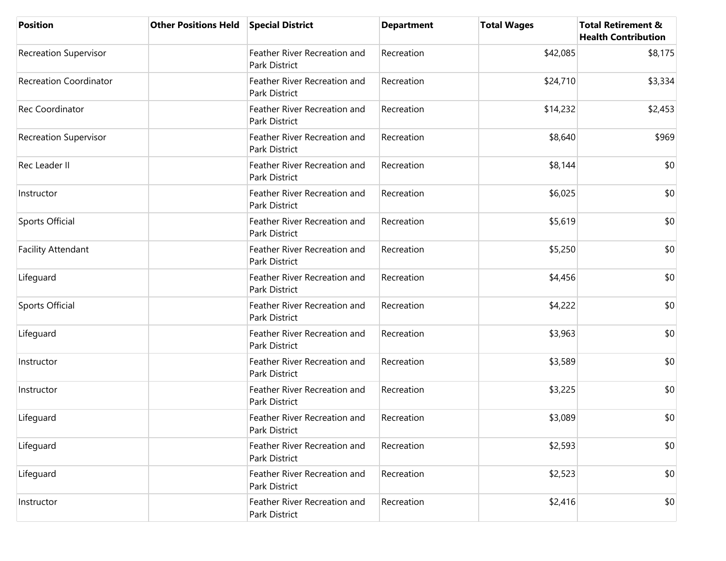| <b>Position</b>               | <b>Other Positions Held</b> | <b>Special District</b>                       | <b>Department</b> | <b>Total Wages</b> | <b>Total Retirement &amp;</b><br><b>Health Contribution</b> |
|-------------------------------|-----------------------------|-----------------------------------------------|-------------------|--------------------|-------------------------------------------------------------|
| <b>Recreation Supervisor</b>  |                             | Feather River Recreation and<br>Park District | Recreation        | \$42,085           | \$8,175                                                     |
| <b>Recreation Coordinator</b> |                             | Feather River Recreation and<br>Park District | Recreation        | \$24,710           | \$3,334                                                     |
| Rec Coordinator               |                             | Feather River Recreation and<br>Park District | Recreation        | \$14,232           | \$2,453                                                     |
| <b>Recreation Supervisor</b>  |                             | Feather River Recreation and<br>Park District | Recreation        | \$8,640            | \$969                                                       |
| Rec Leader II                 |                             | Feather River Recreation and<br>Park District | Recreation        | \$8,144            | \$0                                                         |
| Instructor                    |                             | Feather River Recreation and<br>Park District | Recreation        | \$6,025            | \$0                                                         |
| <b>Sports Official</b>        |                             | Feather River Recreation and<br>Park District | Recreation        | \$5,619            | \$0                                                         |
| <b>Facility Attendant</b>     |                             | Feather River Recreation and<br>Park District | Recreation        | \$5,250            | \$0                                                         |
| Lifeguard                     |                             | Feather River Recreation and<br>Park District | Recreation        | \$4,456            | \$0                                                         |
| Sports Official               |                             | Feather River Recreation and<br>Park District | Recreation        | \$4,222            | \$0                                                         |
| Lifeguard                     |                             | Feather River Recreation and<br>Park District | Recreation        | \$3,963            | \$0                                                         |
| Instructor                    |                             | Feather River Recreation and<br>Park District | Recreation        | \$3,589            | \$0                                                         |
| Instructor                    |                             | Feather River Recreation and<br>Park District | Recreation        | \$3,225            | \$0                                                         |
| Lifeguard                     |                             | Feather River Recreation and<br>Park District | Recreation        | \$3,089            | \$0                                                         |
| Lifeguard                     |                             | Feather River Recreation and<br>Park District | Recreation        | \$2,593            | \$0                                                         |
| Lifeguard                     |                             | Feather River Recreation and<br>Park District | Recreation        | \$2,523            | \$0                                                         |
| Instructor                    |                             | Feather River Recreation and<br>Park District | Recreation        | \$2,416            | \$0                                                         |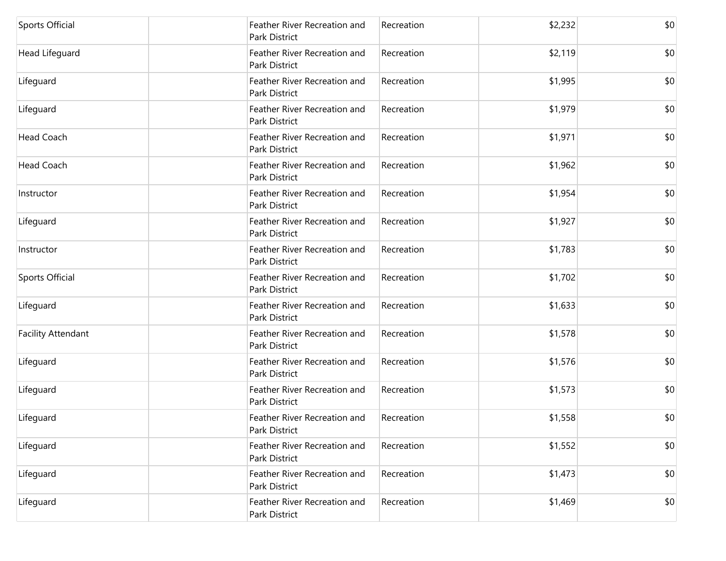| <b>Sports Official</b>    | Feather River Recreation and<br>Park District | Recreation | \$2,232 | \$0 |
|---------------------------|-----------------------------------------------|------------|---------|-----|
| Head Lifeguard            | Feather River Recreation and<br>Park District | Recreation | \$2,119 | \$0 |
| Lifeguard                 | Feather River Recreation and<br>Park District | Recreation | \$1,995 | \$0 |
| Lifeguard                 | Feather River Recreation and<br>Park District | Recreation | \$1,979 | \$0 |
| <b>Head Coach</b>         | Feather River Recreation and<br>Park District | Recreation | \$1,971 | \$0 |
| Head Coach                | Feather River Recreation and<br>Park District | Recreation | \$1,962 | \$0 |
| Instructor                | Feather River Recreation and<br>Park District | Recreation | \$1,954 | \$0 |
| Lifeguard                 | Feather River Recreation and<br>Park District | Recreation | \$1,927 | \$0 |
| Instructor                | Feather River Recreation and<br>Park District | Recreation | \$1,783 | \$0 |
| Sports Official           | Feather River Recreation and<br>Park District | Recreation | \$1,702 | \$0 |
| Lifeguard                 | Feather River Recreation and<br>Park District | Recreation | \$1,633 | \$0 |
| <b>Facility Attendant</b> | Feather River Recreation and<br>Park District | Recreation | \$1,578 | \$0 |
| Lifeguard                 | Feather River Recreation and<br>Park District | Recreation | \$1,576 | \$0 |
| Lifeguard                 | Feather River Recreation and<br>Park District | Recreation | \$1,573 | \$0 |
| Lifeguard                 | Feather River Recreation and<br>Park District | Recreation | \$1,558 | \$0 |
| Lifeguard                 | Feather River Recreation and<br>Park District | Recreation | \$1,552 | \$0 |
| Lifeguard                 | Feather River Recreation and<br>Park District | Recreation | \$1,473 | \$0 |
| Lifeguard                 | Feather River Recreation and<br>Park District | Recreation | \$1,469 | \$0 |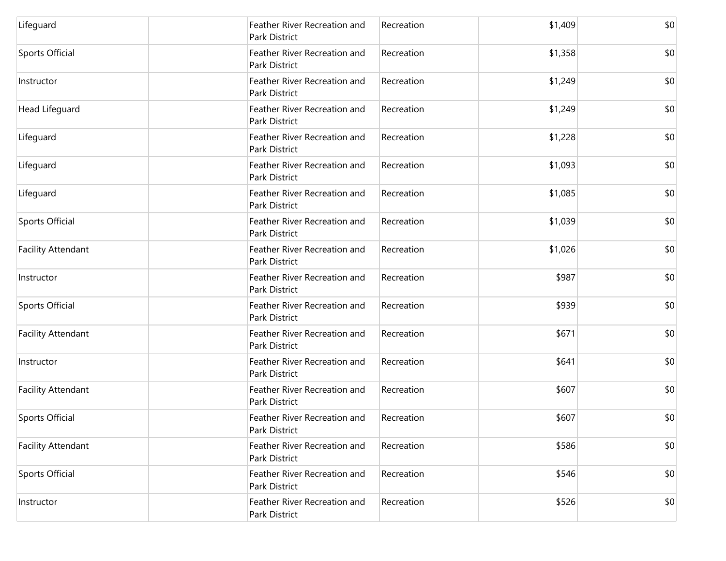| Lifeguard                 | Feather River Recreation and<br>Park District | Recreation | \$1,409 | \$0 |
|---------------------------|-----------------------------------------------|------------|---------|-----|
| <b>Sports Official</b>    | Feather River Recreation and<br>Park District | Recreation | \$1,358 | \$0 |
| Instructor                | Feather River Recreation and<br>Park District | Recreation | \$1,249 | \$0 |
| Head Lifeguard            | Feather River Recreation and<br>Park District | Recreation | \$1,249 | \$0 |
| Lifeguard                 | Feather River Recreation and<br>Park District | Recreation | \$1,228 | \$0 |
| Lifeguard                 | Feather River Recreation and<br>Park District | Recreation | \$1,093 | \$0 |
| Lifeguard                 | Feather River Recreation and<br>Park District | Recreation | \$1,085 | \$0 |
| Sports Official           | Feather River Recreation and<br>Park District | Recreation | \$1,039 | \$0 |
| <b>Facility Attendant</b> | Feather River Recreation and<br>Park District | Recreation | \$1,026 | \$0 |
| Instructor                | Feather River Recreation and<br>Park District | Recreation | \$987   | \$0 |
| <b>Sports Official</b>    | Feather River Recreation and<br>Park District | Recreation | \$939   | \$0 |
| <b>Facility Attendant</b> | Feather River Recreation and<br>Park District | Recreation | \$671   | \$0 |
| Instructor                | Feather River Recreation and<br>Park District | Recreation | \$641   | \$0 |
| <b>Facility Attendant</b> | Feather River Recreation and<br>Park District | Recreation | \$607   | \$0 |
| Sports Official           | Feather River Recreation and<br>Park District | Recreation | \$607   | \$0 |
| <b>Facility Attendant</b> | Feather River Recreation and<br>Park District | Recreation | \$586   | \$0 |
| Sports Official           | Feather River Recreation and<br>Park District | Recreation | \$546   | \$0 |
| Instructor                | Feather River Recreation and<br>Park District | Recreation | \$526   | \$0 |